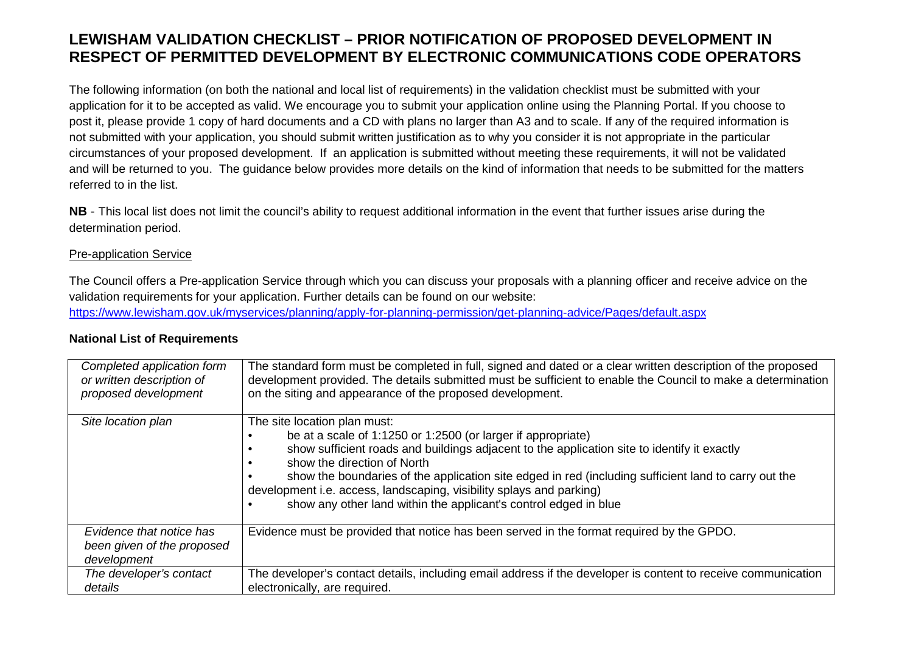## **LEWISHAM VALIDATION CHECKLIST – PRIOR NOTIFICATION OF PROPOSED DEVELOPMENT IN RESPECT OF PERMITTED DEVELOPMENT BY ELECTRONIC COMMUNICATIONS CODE OPERATORS**

The following information (on both the national and local list of requirements) in the validation checklist must be submitted with your application for it to be accepted as valid. We encourage you to submit your application online using the Planning Portal. If you choose to post it, please provide 1 copy of hard documents and a CD with plans no larger than A3 and to scale. If any of the required information is not submitted with your application, you should submit written justification as to why you consider it is not appropriate in the particular circumstances of your proposed development. If an application is submitted without meeting these requirements, it will not be validated and will be returned to you. The guidance below provides more details on the kind of information that needs to be submitted for the matters referred to in the list.

**NB** - This local list does not limit the council's ability to request additional information in the event that further issues arise during the determination period.

## Pre-application Service

The Council offers a Pre-application Service through which you can discuss your proposals with a planning officer and receive advice on the validation requirements for your application. Further details can be found on our website: https://www.lewisham.gov.uk/myservices/planning/apply-for-planning-permission/get-planning-advice/Pages/default.aspx

| Completed application form                                            | The standard form must be completed in full, signed and dated or a clear written description of the proposed                                                                                                                                                                                                                                                                                                                                                                   |
|-----------------------------------------------------------------------|--------------------------------------------------------------------------------------------------------------------------------------------------------------------------------------------------------------------------------------------------------------------------------------------------------------------------------------------------------------------------------------------------------------------------------------------------------------------------------|
| or written description of                                             | development provided. The details submitted must be sufficient to enable the Council to make a determination                                                                                                                                                                                                                                                                                                                                                                   |
| proposed development                                                  | on the siting and appearance of the proposed development.                                                                                                                                                                                                                                                                                                                                                                                                                      |
| Site location plan                                                    | The site location plan must:<br>be at a scale of 1:1250 or 1:2500 (or larger if appropriate)<br>show sufficient roads and buildings adjacent to the application site to identify it exactly<br>show the direction of North<br>show the boundaries of the application site edged in red (including sufficient land to carry out the<br>development i.e. access, landscaping, visibility splays and parking)<br>show any other land within the applicant's control edged in blue |
| Evidence that notice has<br>been given of the proposed<br>development | Evidence must be provided that notice has been served in the format required by the GPDO.                                                                                                                                                                                                                                                                                                                                                                                      |
| The developer's contact                                               | The developer's contact details, including email address if the developer is content to receive communication                                                                                                                                                                                                                                                                                                                                                                  |
| details                                                               | electronically, are required.                                                                                                                                                                                                                                                                                                                                                                                                                                                  |

## **National List of Requirements**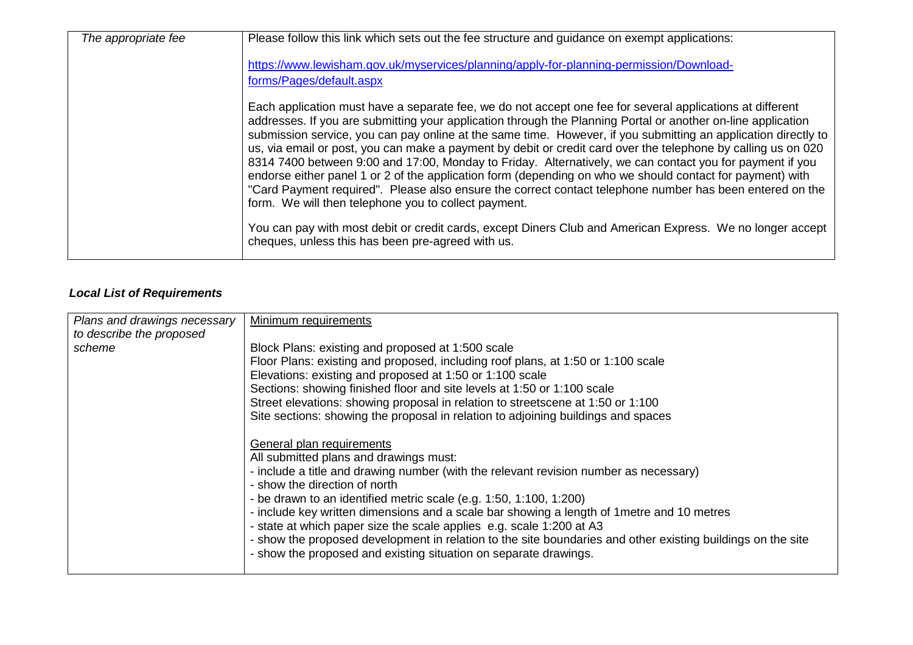| The appropriate fee | Please follow this link which sets out the fee structure and guidance on exempt applications:                                                                                                                                                                                                                                                                                                                                                                                                                                                                                                                                                                                                                                                                                                                                                             |
|---------------------|-----------------------------------------------------------------------------------------------------------------------------------------------------------------------------------------------------------------------------------------------------------------------------------------------------------------------------------------------------------------------------------------------------------------------------------------------------------------------------------------------------------------------------------------------------------------------------------------------------------------------------------------------------------------------------------------------------------------------------------------------------------------------------------------------------------------------------------------------------------|
|                     | https://www.lewisham.gov.uk/myservices/planning/apply-for-planning-permission/Download-                                                                                                                                                                                                                                                                                                                                                                                                                                                                                                                                                                                                                                                                                                                                                                   |
|                     | forms/Pages/default.aspx                                                                                                                                                                                                                                                                                                                                                                                                                                                                                                                                                                                                                                                                                                                                                                                                                                  |
|                     | Each application must have a separate fee, we do not accept one fee for several applications at different<br>addresses. If you are submitting your application through the Planning Portal or another on-line application<br>submission service, you can pay online at the same time. However, if you submitting an application directly to<br>us, via email or post, you can make a payment by debit or credit card over the telephone by calling us on 020<br>8314 7400 between 9:00 and 17:00, Monday to Friday. Alternatively, we can contact you for payment if you<br>endorse either panel 1 or 2 of the application form (depending on who we should contact for payment) with<br>"Card Payment required". Please also ensure the correct contact telephone number has been entered on the<br>form. We will then telephone you to collect payment. |
|                     | You can pay with most debit or credit cards, except Diners Club and American Express. We no longer accept<br>cheques, unless this has been pre-agreed with us.                                                                                                                                                                                                                                                                                                                                                                                                                                                                                                                                                                                                                                                                                            |

## **Local List of Requirements**

| Plans and drawings necessary | Minimum requirements                                                                                        |
|------------------------------|-------------------------------------------------------------------------------------------------------------|
| to describe the proposed     |                                                                                                             |
| scheme                       | Block Plans: existing and proposed at 1:500 scale                                                           |
|                              | Floor Plans: existing and proposed, including roof plans, at 1:50 or 1:100 scale                            |
|                              | Elevations: existing and proposed at 1:50 or 1:100 scale                                                    |
|                              | Sections: showing finished floor and site levels at 1:50 or 1:100 scale                                     |
|                              | Street elevations: showing proposal in relation to streetscene at 1:50 or 1:100                             |
|                              | Site sections: showing the proposal in relation to adjoining buildings and spaces                           |
|                              |                                                                                                             |
|                              | General plan requirements                                                                                   |
|                              | All submitted plans and drawings must:                                                                      |
|                              | - include a title and drawing number (with the relevant revision number as necessary)                       |
|                              | - show the direction of north                                                                               |
|                              | - be drawn to an identified metric scale (e.g. $1:50$ , $1:100$ , $1:200$ )                                 |
|                              | - include key written dimensions and a scale bar showing a length of 1 metre and 10 metres                  |
|                              | - state at which paper size the scale applies e.g. scale 1:200 at A3                                        |
|                              | - show the proposed development in relation to the site boundaries and other existing buildings on the site |
|                              | - show the proposed and existing situation on separate drawings.                                            |
|                              |                                                                                                             |